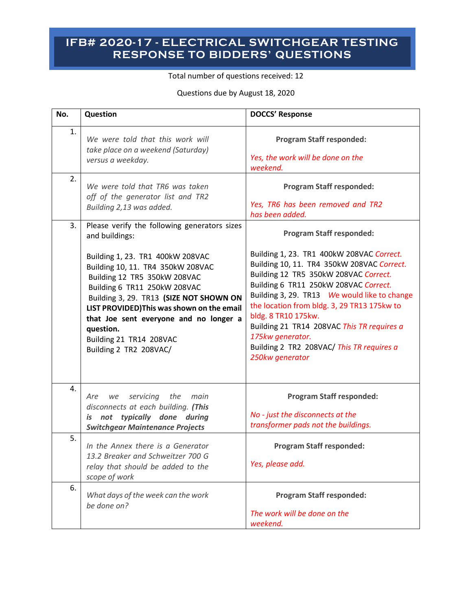## **IFB# 2020-17 - ELECTRICAL SWITCHGEAR TESTING RESPONSE TO BIDDERS' QUESTIONS**

Total number of questions received: 12

Questions due by August 18, 2020

| No. | Question                                                                                                                                                                                                                                                                                                                                   | <b>DOCCS' Response</b>                                                                                                                                                                                                                                                                                                                                                                                                             |
|-----|--------------------------------------------------------------------------------------------------------------------------------------------------------------------------------------------------------------------------------------------------------------------------------------------------------------------------------------------|------------------------------------------------------------------------------------------------------------------------------------------------------------------------------------------------------------------------------------------------------------------------------------------------------------------------------------------------------------------------------------------------------------------------------------|
| 1.  | We were told that this work will<br>take place on a weekend (Saturday)<br>versus a weekday.                                                                                                                                                                                                                                                | <b>Program Staff responded:</b><br>Yes, the work will be done on the<br>weekend.                                                                                                                                                                                                                                                                                                                                                   |
| 2.  | We were told that TR6 was taken<br>off of the generator list and TR2<br>Building 2,13 was added.                                                                                                                                                                                                                                           | <b>Program Staff responded:</b><br>Yes, TR6 has been removed and TR2<br>has been added.                                                                                                                                                                                                                                                                                                                                            |
| 3.  | Please verify the following generators sizes<br>and buildings:                                                                                                                                                                                                                                                                             | <b>Program Staff responded:</b>                                                                                                                                                                                                                                                                                                                                                                                                    |
|     | Building 1, 23. TR1 400kW 208VAC<br>Building 10, 11. TR4 350kW 208VAC<br>Building 12 TR5 350kW 208VAC<br>Building 6 TR11 250kW 208VAC<br>Building 3, 29. TR13 (SIZE NOT SHOWN ON<br>LIST PROVIDED) This was shown on the email<br>that Joe sent everyone and no longer a<br>question.<br>Building 21 TR14 208VAC<br>Building 2 TR2 208VAC/ | Building 1, 23. TR1 400kW 208VAC Correct.<br>Building 10, 11. TR4 350kW 208VAC Correct.<br>Building 12 TR5 350kW 208VAC Correct.<br>Building 6 TR11 250kW 208VAC Correct.<br>Building 3, 29. TR13  We would like to change<br>the location from bldg. 3, 29 TR13 175kw to<br>bldg. 8 TR10 175kw.<br>Building 21 TR14 208VAC This TR requires a<br>175kw generator.<br>Building 2 TR2 208VAC/ This TR requires a<br>250kw generator |
| 4.  | servicing the main<br>Are<br>we<br>disconnects at each building. (This<br>is not typically done during<br><b>Switchgear Maintenance Projects</b>                                                                                                                                                                                           | <b>Program Staff responded:</b><br>No - just the disconnects at the<br>transformer pads not the buildings.                                                                                                                                                                                                                                                                                                                         |
| 5.  | In the Annex there is a Generator<br>13.2 Breaker and Schweitzer 700 G<br>relay that should be added to the<br>scope of work                                                                                                                                                                                                               | <b>Program Staff responded:</b><br>Yes, please add.                                                                                                                                                                                                                                                                                                                                                                                |
| 6.  | What days of the week can the work<br>be done on?                                                                                                                                                                                                                                                                                          | <b>Program Staff responded:</b><br>The work will be done on the<br>weekend.                                                                                                                                                                                                                                                                                                                                                        |